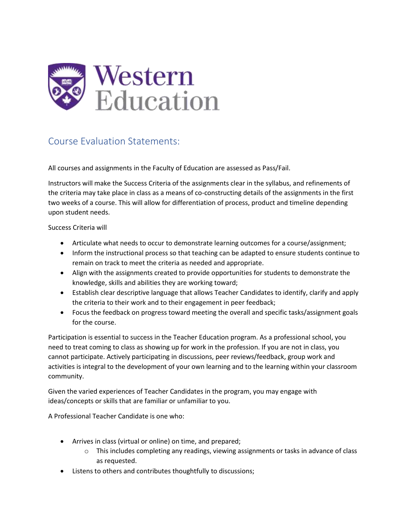

## Course Evaluation Statements:

All courses and assignments in the Faculty of Education are assessed as Pass/Fail.

Instructors will make the Success Criteria of the assignments clear in the syllabus, and refinements of the criteria may take place in class as a means of co-constructing details of the assignments in the first two weeks of a course. This will allow for differentiation of process, product and timeline depending upon student needs.

Success Criteria will

- Articulate what needs to occur to demonstrate learning outcomes for a course/assignment;
- Inform the instructional process so that teaching can be adapted to ensure students continue to remain on track to meet the criteria as needed and appropriate.
- Align with the assignments created to provide opportunities for students to demonstrate the knowledge, skills and abilities they are working toward;
- Establish clear descriptive language that allows Teacher Candidates to identify, clarify and apply the criteria to their work and to their engagement in peer feedback;
- Focus the feedback on progress toward meeting the overall and specific tasks/assignment goals for the course.

Participation is essential to success in the Teacher Education program. As a professional school, you need to treat coming to class as showing up for work in the profession. If you are not in class, you cannot participate. Actively participating in discussions, peer reviews/feedback, group work and activities is integral to the development of your own learning and to the learning within your classroom community.

Given the varied experiences of Teacher Candidates in the program, you may engage with ideas/concepts or skills that are familiar or unfamiliar to you.

A Professional Teacher Candidate is one who:

- Arrives in class (virtual or online) on time, and prepared;
	- $\circ$  This includes completing any readings, viewing assignments or tasks in advance of class as requested.
- Listens to others and contributes thoughtfully to discussions;